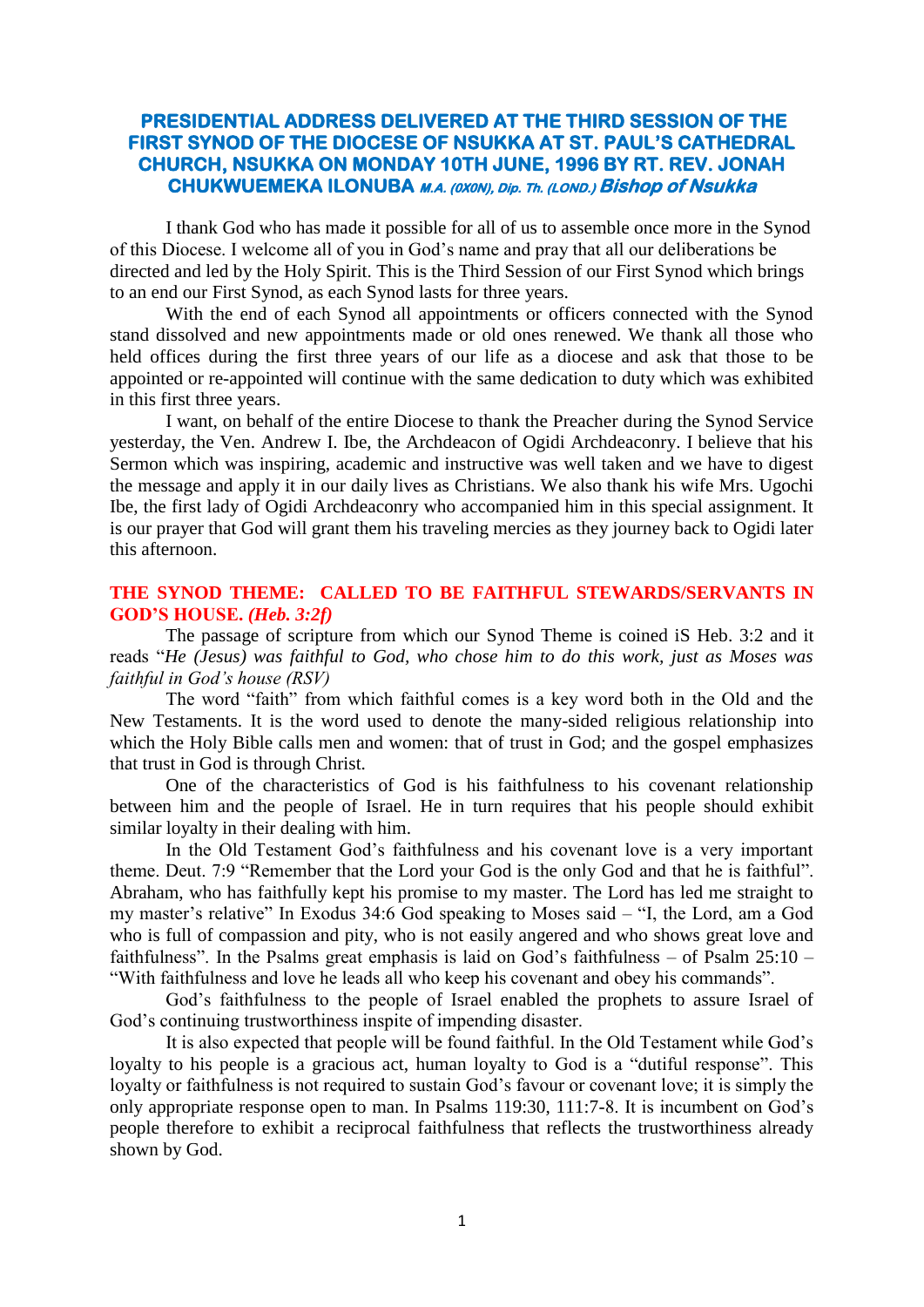# **PRESIDENTIAL ADDRESS DELIVERED AT THE THIRD SESSION OF THE FIRST SYNOD OF THE DIOCESE OF NSUKKA AT ST. PAUL'S CATHEDRAL CHURCH, NSUKKA ON MONDAY 10TH JUNE, 1996 BY RT. REV. JONAH CHUKWUEMEKA ILONUBA M.A. (0X0N), Dip. Th. (LOND.) Bishop of Nsukka**

I thank God who has made it possible for all of us to assemble once more in the Synod of this Diocese. I welcome all of you in God"s name and pray that all our deliberations be directed and led by the Holy Spirit. This is the Third Session of our First Synod which brings to an end our First Synod, as each Synod lasts for three years.

With the end of each Synod all appointments or officers connected with the Synod stand dissolved and new appointments made or old ones renewed. We thank all those who held offices during the first three years of our life as a diocese and ask that those to be appointed or re-appointed will continue with the same dedication to duty which was exhibited in this first three years.

I want, on behalf of the entire Diocese to thank the Preacher during the Synod Service yesterday, the Ven. Andrew I. Ibe, the Archdeacon of Ogidi Archdeaconry. I believe that his Sermon which was inspiring, academic and instructive was well taken and we have to digest the message and apply it in our daily lives as Christians. We also thank his wife Mrs. Ugochi Ibe, the first lady of Ogidi Archdeaconry who accompanied him in this special assignment. It is our prayer that God will grant them his traveling mercies as they journey back to Ogidi later this afternoon.

## **THE SYNOD THEME: CALLED TO BE FAITHFUL STEWARDS/SERVANTS IN GOD'S HOUSE.** *(Heb. 3:2f)*

The passage of scripture from which our Synod Theme is coined iS Heb. 3:2 and it reads "*He (Jesus) was faithful to God, who chose him to do this work, just as Moses was faithful in God's house (RSV)*

The word "faith" from which faithful comes is a key word both in the Old and the New Testaments. It is the word used to denote the many-sided religious relationship into which the Holy Bible calls men and women: that of trust in God; and the gospel emphasizes that trust in God is through Christ.

One of the characteristics of God is his faithfulness to his covenant relationship between him and the people of Israel. He in turn requires that his people should exhibit similar loyalty in their dealing with him.

In the Old Testament God"s faithfulness and his covenant love is a very important theme. Deut. 7:9 "Remember that the Lord your God is the only God and that he is faithful". Abraham, who has faithfully kept his promise to my master. The Lord has led me straight to my master"s relative" In Exodus 34:6 God speaking to Moses said – "I, the Lord, am a God who is full of compassion and pity, who is not easily angered and who shows great love and faithfulness". In the Psalms great emphasis is laid on God's faithfulness – of Psalm  $25:10 -$ "With faithfulness and love he leads all who keep his covenant and obey his commands".

God"s faithfulness to the people of Israel enabled the prophets to assure Israel of God's continuing trustworthiness inspite of impending disaster.

It is also expected that people will be found faithful. In the Old Testament while God"s loyalty to his people is a gracious act, human loyalty to God is a "dutiful response". This loyalty or faithfulness is not required to sustain God's favour or covenant love; it is simply the only appropriate response open to man. In Psalms 119:30, 111:7-8. It is incumbent on God"s people therefore to exhibit a reciprocal faithfulness that reflects the trustworthiness already shown by God.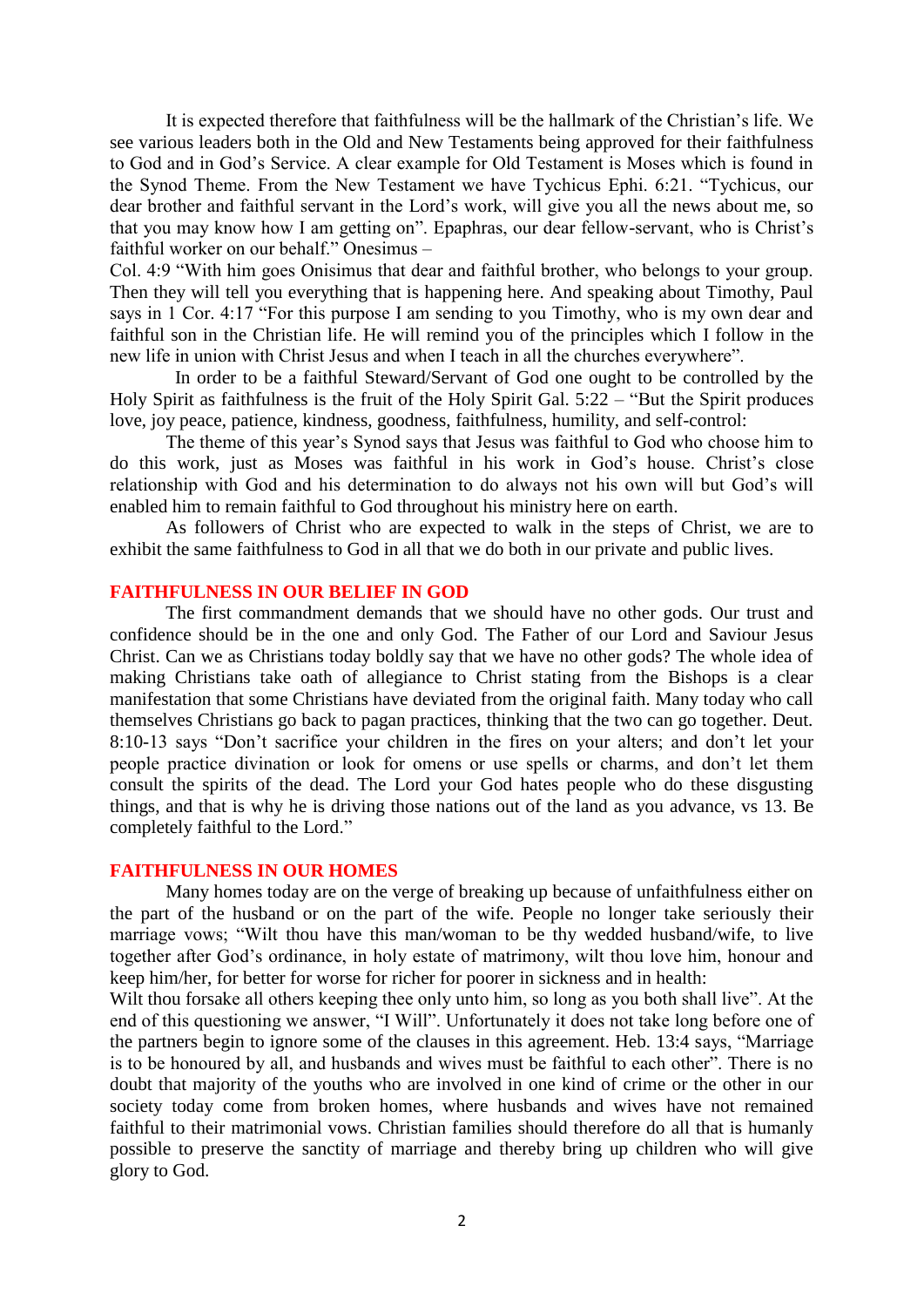It is expected therefore that faithfulness will be the hallmark of the Christian"s life. We see various leaders both in the Old and New Testaments being approved for their faithfulness to God and in God"s Service. A clear example for Old Testament is Moses which is found in the Synod Theme. From the New Testament we have Tychicus Ephi. 6:21. "Tychicus, our dear brother and faithful servant in the Lord"s work, will give you all the news about me, so that you may know how I am getting on". Epaphras, our dear fellow-servant, who is Christ"s faithful worker on our behalf." Onesimus –

Col. 4:9 "With him goes Onisimus that dear and faithful brother, who belongs to your group. Then they will tell you everything that is happening here. And speaking about Timothy, Paul says in 1 Cor. 4:17 "For this purpose I am sending to you Timothy, who is my own dear and faithful son in the Christian life. He will remind you of the principles which I follow in the new life in union with Christ Jesus and when I teach in all the churches everywhere".

 In order to be a faithful Steward/Servant of God one ought to be controlled by the Holy Spirit as faithfulness is the fruit of the Holy Spirit Gal. 5:22 – "But the Spirit produces" love, joy peace, patience, kindness, goodness, faithfulness, humility, and self-control:

The theme of this year's Synod says that Jesus was faithful to God who choose him to do this work, just as Moses was faithful in his work in God"s house. Christ"s close relationship with God and his determination to do always not his own will but God"s will enabled him to remain faithful to God throughout his ministry here on earth.

As followers of Christ who are expected to walk in the steps of Christ, we are to exhibit the same faithfulness to God in all that we do both in our private and public lives.

### **FAITHFULNESS IN OUR BELIEF IN GOD**

The first commandment demands that we should have no other gods. Our trust and confidence should be in the one and only God. The Father of our Lord and Saviour Jesus Christ. Can we as Christians today boldly say that we have no other gods? The whole idea of making Christians take oath of allegiance to Christ stating from the Bishops is a clear manifestation that some Christians have deviated from the original faith. Many today who call themselves Christians go back to pagan practices, thinking that the two can go together. Deut. 8:10-13 says "Don"t sacrifice your children in the fires on your alters; and don"t let your people practice divination or look for omens or use spells or charms, and don"t let them consult the spirits of the dead. The Lord your God hates people who do these disgusting things, and that is why he is driving those nations out of the land as you advance, vs 13. Be completely faithful to the Lord."

#### **FAITHFULNESS IN OUR HOMES**

Many homes today are on the verge of breaking up because of unfaithfulness either on the part of the husband or on the part of the wife. People no longer take seriously their marriage vows; "Wilt thou have this man/woman to be thy wedded husband/wife, to live together after God"s ordinance, in holy estate of matrimony, wilt thou love him, honour and keep him/her, for better for worse for richer for poorer in sickness and in health:

Wilt thou forsake all others keeping thee only unto him, so long as you both shall live". At the end of this questioning we answer, "I Will". Unfortunately it does not take long before one of the partners begin to ignore some of the clauses in this agreement. Heb. 13:4 says, "Marriage is to be honoured by all, and husbands and wives must be faithful to each other". There is no doubt that majority of the youths who are involved in one kind of crime or the other in our society today come from broken homes, where husbands and wives have not remained faithful to their matrimonial vows. Christian families should therefore do all that is humanly possible to preserve the sanctity of marriage and thereby bring up children who will give glory to God.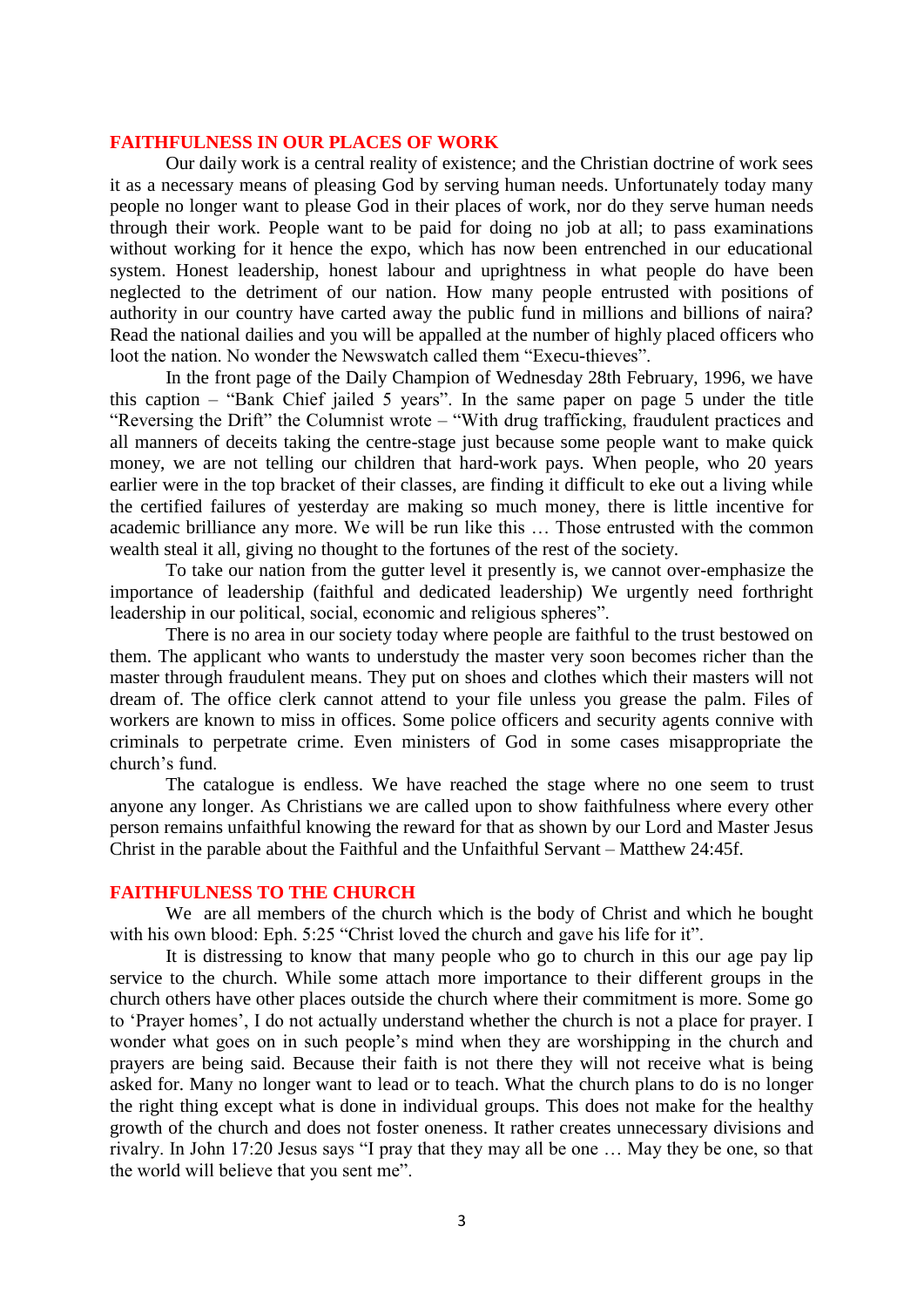#### **FAITHFULNESS IN OUR PLACES OF WORK**

Our daily work is a central reality of existence; and the Christian doctrine of work sees it as a necessary means of pleasing God by serving human needs. Unfortunately today many people no longer want to please God in their places of work, nor do they serve human needs through their work. People want to be paid for doing no job at all; to pass examinations without working for it hence the expo, which has now been entrenched in our educational system. Honest leadership, honest labour and uprightness in what people do have been neglected to the detriment of our nation. How many people entrusted with positions of authority in our country have carted away the public fund in millions and billions of naira? Read the national dailies and you will be appalled at the number of highly placed officers who loot the nation. No wonder the Newswatch called them "Execu-thieves".

In the front page of the Daily Champion of Wednesday 28th February, 1996, we have this caption – "Bank Chief jailed 5 years". In the same paper on page 5 under the title "Reversing the Drift" the Columnist wrote – "With drug trafficking, fraudulent practices and all manners of deceits taking the centre-stage just because some people want to make quick money, we are not telling our children that hard-work pays. When people, who 20 years earlier were in the top bracket of their classes, are finding it difficult to eke out a living while the certified failures of yesterday are making so much money, there is little incentive for academic brilliance any more. We will be run like this … Those entrusted with the common wealth steal it all, giving no thought to the fortunes of the rest of the society.

To take our nation from the gutter level it presently is, we cannot over-emphasize the importance of leadership (faithful and dedicated leadership) We urgently need forthright leadership in our political, social, economic and religious spheres".

There is no area in our society today where people are faithful to the trust bestowed on them. The applicant who wants to understudy the master very soon becomes richer than the master through fraudulent means. They put on shoes and clothes which their masters will not dream of. The office clerk cannot attend to your file unless you grease the palm. Files of workers are known to miss in offices. Some police officers and security agents connive with criminals to perpetrate crime. Even ministers of God in some cases misappropriate the church"s fund.

The catalogue is endless. We have reached the stage where no one seem to trust anyone any longer. As Christians we are called upon to show faithfulness where every other person remains unfaithful knowing the reward for that as shown by our Lord and Master Jesus Christ in the parable about the Faithful and the Unfaithful Servant – Matthew 24:45f.

#### **FAITHFULNESS TO THE CHURCH**

We are all members of the church which is the body of Christ and which he bought with his own blood: Eph. 5:25 "Christ loved the church and gave his life for it".

It is distressing to know that many people who go to church in this our age pay lip service to the church. While some attach more importance to their different groups in the church others have other places outside the church where their commitment is more. Some go to "Prayer homes", I do not actually understand whether the church is not a place for prayer. I wonder what goes on in such people"s mind when they are worshipping in the church and prayers are being said. Because their faith is not there they will not receive what is being asked for. Many no longer want to lead or to teach. What the church plans to do is no longer the right thing except what is done in individual groups. This does not make for the healthy growth of the church and does not foster oneness. It rather creates unnecessary divisions and rivalry. In John 17:20 Jesus says "I pray that they may all be one … May they be one, so that the world will believe that you sent me".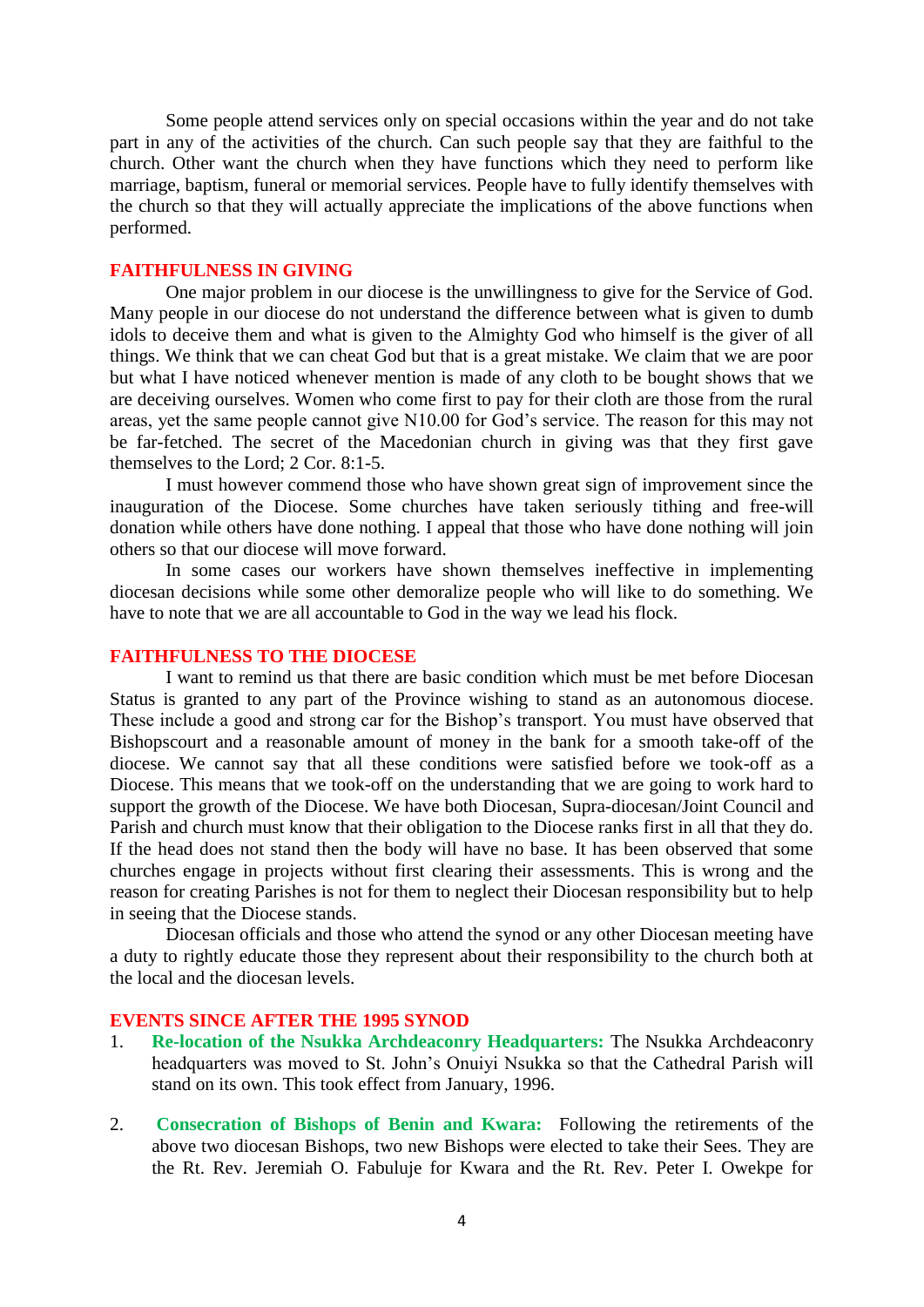Some people attend services only on special occasions within the year and do not take part in any of the activities of the church. Can such people say that they are faithful to the church. Other want the church when they have functions which they need to perform like marriage, baptism, funeral or memorial services. People have to fully identify themselves with the church so that they will actually appreciate the implications of the above functions when performed.

#### **FAITHFULNESS IN GIVING**

One major problem in our diocese is the unwillingness to give for the Service of God. Many people in our diocese do not understand the difference between what is given to dumb idols to deceive them and what is given to the Almighty God who himself is the giver of all things. We think that we can cheat God but that is a great mistake. We claim that we are poor but what I have noticed whenever mention is made of any cloth to be bought shows that we are deceiving ourselves. Women who come first to pay for their cloth are those from the rural areas, yet the same people cannot give N10.00 for God's service. The reason for this may not be far-fetched. The secret of the Macedonian church in giving was that they first gave themselves to the Lord; 2 Cor. 8:1-5.

I must however commend those who have shown great sign of improvement since the inauguration of the Diocese. Some churches have taken seriously tithing and free-will donation while others have done nothing. I appeal that those who have done nothing will join others so that our diocese will move forward.

In some cases our workers have shown themselves ineffective in implementing diocesan decisions while some other demoralize people who will like to do something. We have to note that we are all accountable to God in the way we lead his flock.

### **FAITHFULNESS TO THE DIOCESE**

I want to remind us that there are basic condition which must be met before Diocesan Status is granted to any part of the Province wishing to stand as an autonomous diocese. These include a good and strong car for the Bishop"s transport. You must have observed that Bishopscourt and a reasonable amount of money in the bank for a smooth take-off of the diocese. We cannot say that all these conditions were satisfied before we took-off as a Diocese. This means that we took-off on the understanding that we are going to work hard to support the growth of the Diocese. We have both Diocesan, Supra-diocesan/Joint Council and Parish and church must know that their obligation to the Diocese ranks first in all that they do. If the head does not stand then the body will have no base. It has been observed that some churches engage in projects without first clearing their assessments. This is wrong and the reason for creating Parishes is not for them to neglect their Diocesan responsibility but to help in seeing that the Diocese stands.

Diocesan officials and those who attend the synod or any other Diocesan meeting have a duty to rightly educate those they represent about their responsibility to the church both at the local and the diocesan levels.

### **EVENTS SINCE AFTER THE 1995 SYNOD**

- 1. **Re-location of the Nsukka Archdeaconry Headquarters:** The Nsukka Archdeaconry headquarters was moved to St. John"s Onuiyi Nsukka so that the Cathedral Parish will stand on its own. This took effect from January, 1996.
- 2. **Consecration of Bishops of Benin and Kwara:** Following the retirements of the above two diocesan Bishops, two new Bishops were elected to take their Sees. They are the Rt. Rev. Jeremiah O. Fabuluje for Kwara and the Rt. Rev. Peter I. Owekpe for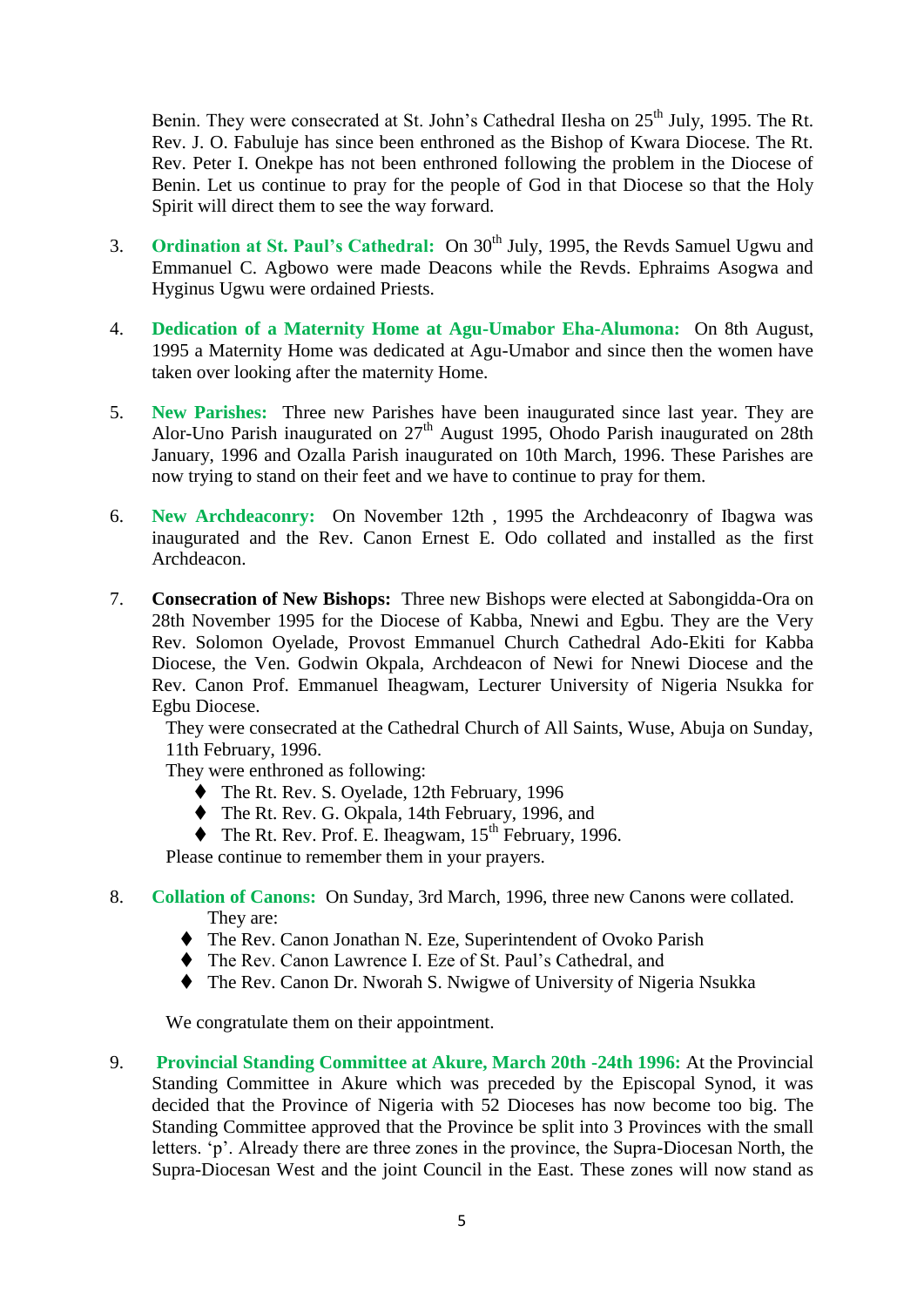Benin. They were consecrated at St. John's Cathedral Ilesha on 25<sup>th</sup> July, 1995. The Rt. Rev. J. O. Fabuluje has since been enthroned as the Bishop of Kwara Diocese. The Rt. Rev. Peter I. Onekpe has not been enthroned following the problem in the Diocese of Benin. Let us continue to pray for the people of God in that Diocese so that the Holy Spirit will direct them to see the way forward.

- 3. **Ordination at St. Paul's Cathedral:** On 30<sup>th</sup> July, 1995, the Revds Samuel Ugwu and Emmanuel C. Agbowo were made Deacons while the Revds. Ephraims Asogwa and Hyginus Ugwu were ordained Priests.
- 4. **Dedication of a Maternity Home at Agu-Umabor Eha-Alumona:** On 8th August, 1995 a Maternity Home was dedicated at Agu-Umabor and since then the women have taken over looking after the maternity Home.
- 5. **New Parishes:** Three new Parishes have been inaugurated since last year. They are Alor-Uno Parish inaugurated on 27<sup>th</sup> August 1995, Ohodo Parish inaugurated on 28th January, 1996 and Ozalla Parish inaugurated on 10th March, 1996. These Parishes are now trying to stand on their feet and we have to continue to pray for them.
- 6. **New Archdeaconry:** On November 12th , 1995 the Archdeaconry of Ibagwa was inaugurated and the Rev. Canon Ernest E. Odo collated and installed as the first Archdeacon.
- 7. **Consecration of New Bishops:** Three new Bishops were elected at Sabongidda-Ora on 28th November 1995 for the Diocese of Kabba, Nnewi and Egbu. They are the Very Rev. Solomon Oyelade, Provost Emmanuel Church Cathedral Ado-Ekiti for Kabba Diocese, the Ven. Godwin Okpala, Archdeacon of Newi for Nnewi Diocese and the Rev. Canon Prof. Emmanuel Iheagwam, Lecturer University of Nigeria Nsukka for Egbu Diocese.

They were consecrated at the Cathedral Church of All Saints, Wuse, Abuja on Sunday, 11th February, 1996.

They were enthroned as following:

- ◆ The Rt. Rev. S. Oyelade, 12th February, 1996
- The Rt. Rev. G. Okpala, 14th February, 1996, and
- $\blacklozenge$  The Rt. Rev. Prof. E. Iheagwam,  $15^{th}$  February, 1996.

Please continue to remember them in your prayers.

- 8. **Collation of Canons:** On Sunday, 3rd March, 1996, three new Canons were collated. They are:
	- The Rev. Canon Jonathan N. Eze, Superintendent of Ovoko Parish
	- ◆ The Rev. Canon Lawrence I. Eze of St. Paul's Cathedral, and
	- The Rev. Canon Dr. Nworah S. Nwigwe of University of Nigeria Nsukka

We congratulate them on their appointment.

9. **Provincial Standing Committee at Akure, March 20th -24th 1996:** At the Provincial Standing Committee in Akure which was preceded by the Episcopal Synod, it was decided that the Province of Nigeria with 52 Dioceses has now become too big. The Standing Committee approved that the Province be split into 3 Provinces with the small letters. 'p'. Already there are three zones in the province, the Supra-Diocesan North, the Supra-Diocesan West and the joint Council in the East. These zones will now stand as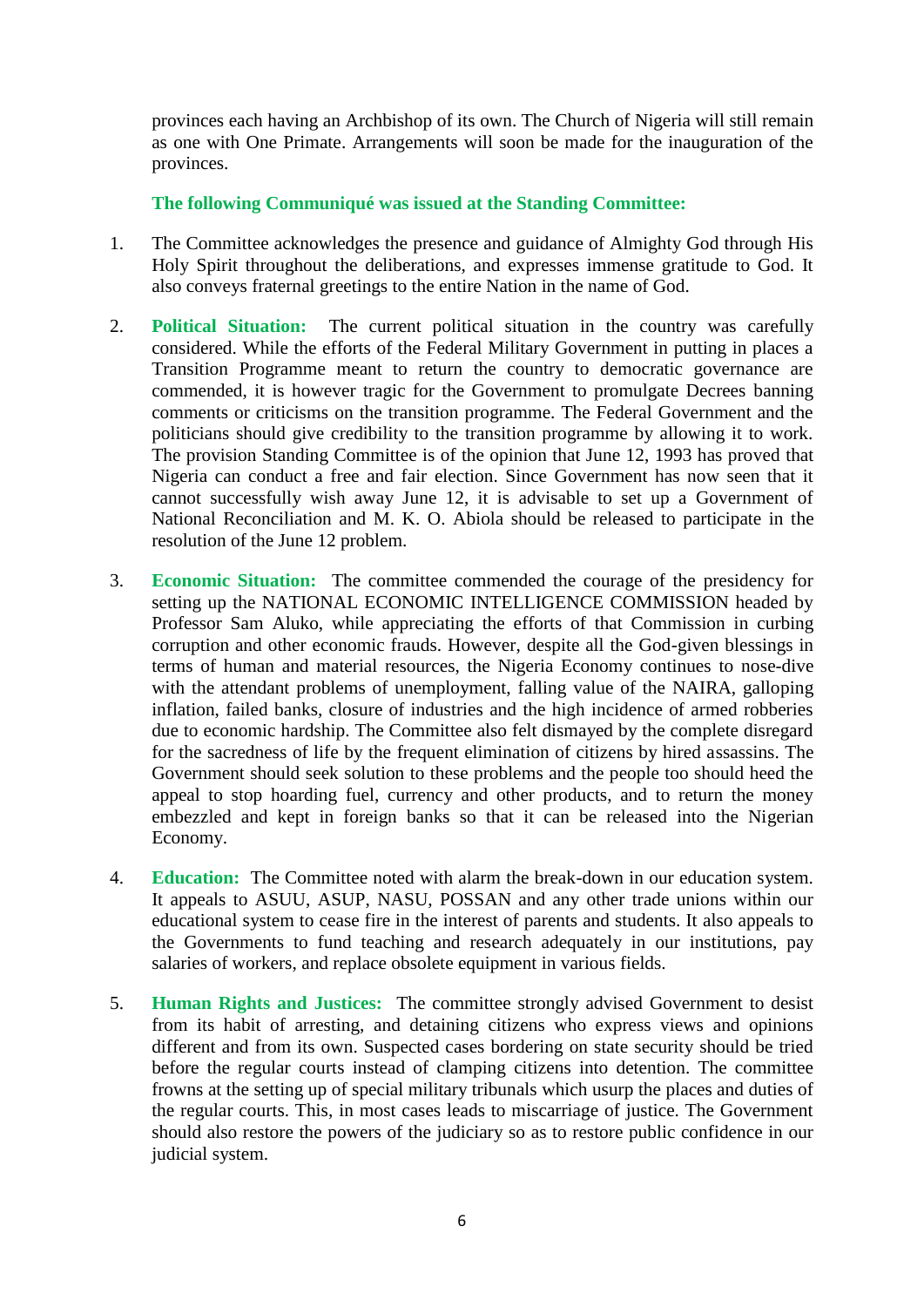provinces each having an Archbishop of its own. The Church of Nigeria will still remain as one with One Primate. Arrangements will soon be made for the inauguration of the provinces.

## **The following Communiqué was issued at the Standing Committee:**

- 1. The Committee acknowledges the presence and guidance of Almighty God through His Holy Spirit throughout the deliberations, and expresses immense gratitude to God. It also conveys fraternal greetings to the entire Nation in the name of God.
- 2. **Political Situation:** The current political situation in the country was carefully considered. While the efforts of the Federal Military Government in putting in places a Transition Programme meant to return the country to democratic governance are commended, it is however tragic for the Government to promulgate Decrees banning comments or criticisms on the transition programme. The Federal Government and the politicians should give credibility to the transition programme by allowing it to work. The provision Standing Committee is of the opinion that June 12, 1993 has proved that Nigeria can conduct a free and fair election. Since Government has now seen that it cannot successfully wish away June 12, it is advisable to set up a Government of National Reconciliation and M. K. O. Abiola should be released to participate in the resolution of the June 12 problem.
- 3. **Economic Situation:** The committee commended the courage of the presidency for setting up the NATIONAL ECONOMIC INTELLIGENCE COMMISSION headed by Professor Sam Aluko, while appreciating the efforts of that Commission in curbing corruption and other economic frauds. However, despite all the God-given blessings in terms of human and material resources, the Nigeria Economy continues to nose-dive with the attendant problems of unemployment, falling value of the NAIRA, galloping inflation, failed banks, closure of industries and the high incidence of armed robberies due to economic hardship. The Committee also felt dismayed by the complete disregard for the sacredness of life by the frequent elimination of citizens by hired assassins. The Government should seek solution to these problems and the people too should heed the appeal to stop hoarding fuel, currency and other products, and to return the money embezzled and kept in foreign banks so that it can be released into the Nigerian Economy.
- 4. **Education:** The Committee noted with alarm the break-down in our education system. It appeals to ASUU, ASUP, NASU, POSSAN and any other trade unions within our educational system to cease fire in the interest of parents and students. It also appeals to the Governments to fund teaching and research adequately in our institutions, pay salaries of workers, and replace obsolete equipment in various fields.
- 5. **Human Rights and Justices:** The committee strongly advised Government to desist from its habit of arresting, and detaining citizens who express views and opinions different and from its own. Suspected cases bordering on state security should be tried before the regular courts instead of clamping citizens into detention. The committee frowns at the setting up of special military tribunals which usurp the places and duties of the regular courts. This, in most cases leads to miscarriage of justice. The Government should also restore the powers of the judiciary so as to restore public confidence in our judicial system.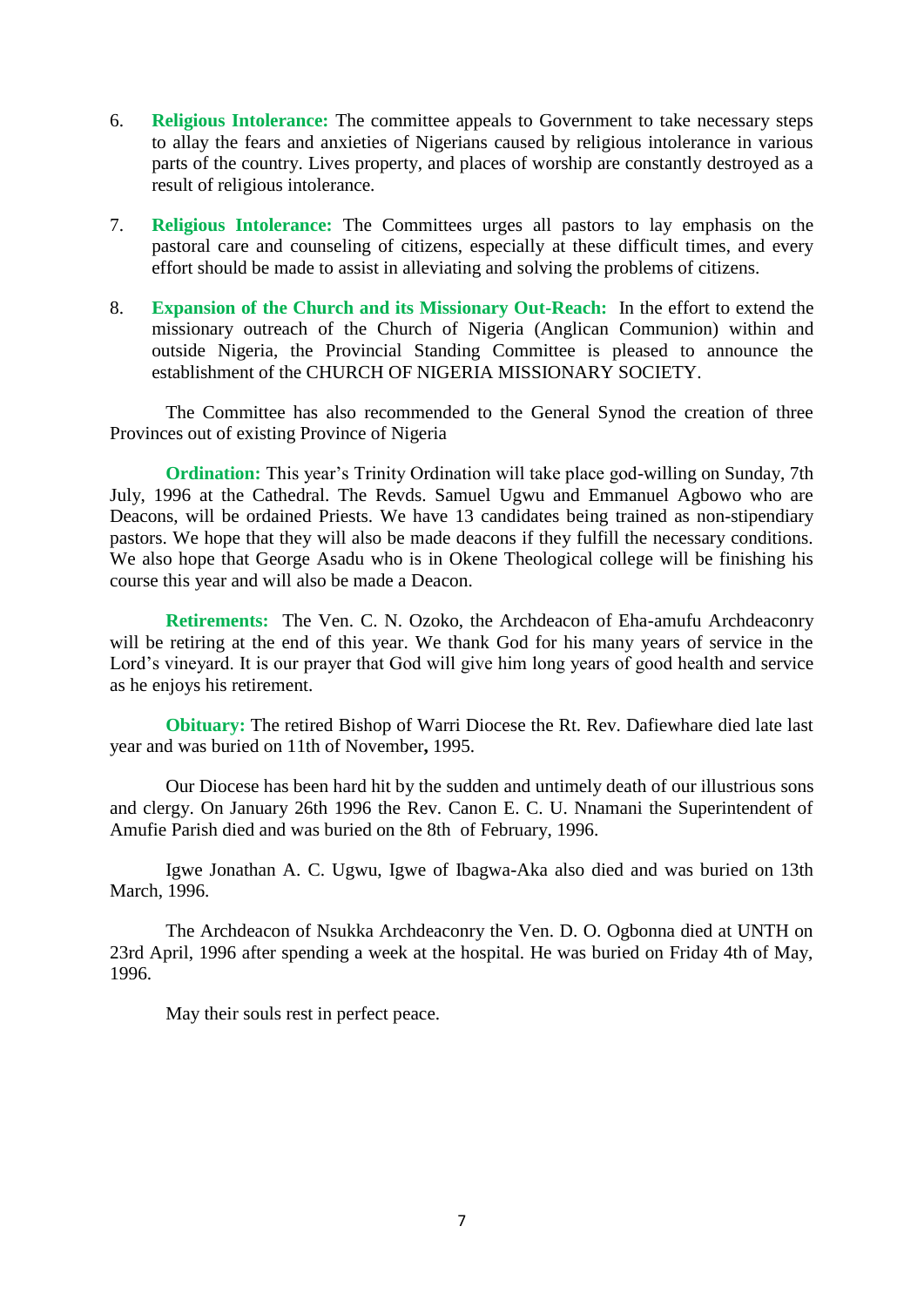- 6. **Religious Intolerance:** The committee appeals to Government to take necessary steps to allay the fears and anxieties of Nigerians caused by religious intolerance in various parts of the country. Lives property, and places of worship are constantly destroyed as a result of religious intolerance.
- 7. **Religious Intolerance:** The Committees urges all pastors to lay emphasis on the pastoral care and counseling of citizens, especially at these difficult times, and every effort should be made to assist in alleviating and solving the problems of citizens.
- 8. **Expansion of the Church and its Missionary Out-Reach:** In the effort to extend the missionary outreach of the Church of Nigeria (Anglican Communion) within and outside Nigeria, the Provincial Standing Committee is pleased to announce the establishment of the CHURCH OF NIGERIA MISSIONARY SOCIETY.

The Committee has also recommended to the General Synod the creation of three Provinces out of existing Province of Nigeria

**Ordination:** This year's Trinity Ordination will take place god-willing on Sunday, 7th July, 1996 at the Cathedral. The Revds. Samuel Ugwu and Emmanuel Agbowo who are Deacons, will be ordained Priests. We have 13 candidates being trained as non-stipendiary pastors. We hope that they will also be made deacons if they fulfill the necessary conditions. We also hope that George Asadu who is in Okene Theological college will be finishing his course this year and will also be made a Deacon.

**Retirements:** The Ven. C. N. Ozoko, the Archdeacon of Eha-amufu Archdeaconry will be retiring at the end of this year. We thank God for his many years of service in the Lord"s vineyard. It is our prayer that God will give him long years of good health and service as he enjoys his retirement.

**Obituary:** The retired Bishop of Warri Diocese the Rt. Rev. Dafiewhare died late last year and was buried on 11th of November**,** 1995.

Our Diocese has been hard hit by the sudden and untimely death of our illustrious sons and clergy. On January 26th 1996 the Rev. Canon E. C. U. Nnamani the Superintendent of Amufie Parish died and was buried on the 8th of February, 1996.

Igwe Jonathan A. C. Ugwu, Igwe of Ibagwa-Aka also died and was buried on 13th March, 1996.

The Archdeacon of Nsukka Archdeaconry the Ven. D. O. Ogbonna died at UNTH on 23rd April, 1996 after spending a week at the hospital. He was buried on Friday 4th of May, 1996.

May their souls rest in perfect peace.